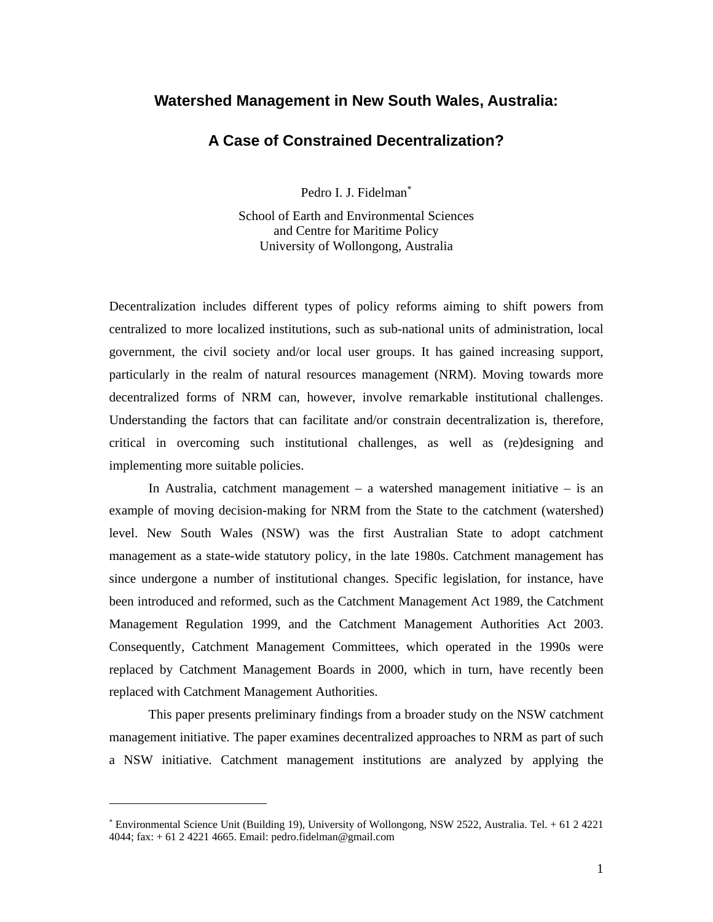# **Watershed Management in New South Wales, Australia:**

# **A Case of Constrained Decentralization?**

Pedro I. J. Fidelman<sup>\*</sup>

School of Earth and Environmental Sciences and Centre for Maritime Policy University of Wollongong, Australia

Decentralization includes different types of policy reforms aiming to shift powers from centralized to more localized institutions, such as sub-national units of administration, local government, the civil society and/or local user groups. It has gained increasing support, particularly in the realm of natural resources management (NRM). Moving towards more decentralized forms of NRM can, however, involve remarkable institutional challenges. Understanding the factors that can facilitate and/or constrain decentralization is, therefore, critical in overcoming such institutional challenges, as well as (re)designing and implementing more suitable policies.

In Australia, catchment management – a watershed management initiative – is an example of moving decision-making for NRM from the State to the catchment (watershed) level. New South Wales (NSW) was the first Australian State to adopt catchment management as a state-wide statutory policy, in the late 1980s. Catchment management has since undergone a number of institutional changes. Specific legislation, for instance, have been introduced and reformed, such as the Catchment Management Act 1989, the Catchment Management Regulation 1999, and the Catchment Management Authorities Act 2003. Consequently, Catchment Management Committees, which operated in the 1990s were replaced by Catchment Management Boards in 2000, which in turn, have recently been replaced with Catchment Management Authorities.

 This paper presents preliminary findings from a broader study on the NSW catchment management initiative. The paper examines decentralized approaches to NRM as part of such a NSW initiative. Catchment management institutions are analyzed by applying the

-

<sup>∗</sup> Environmental Science Unit (Building 19), University of Wollongong, NSW 2522, Australia. Tel. + 61 2 4221 4044; fax: + 61 2 4221 4665. Email: pedro.fidelman@gmail.com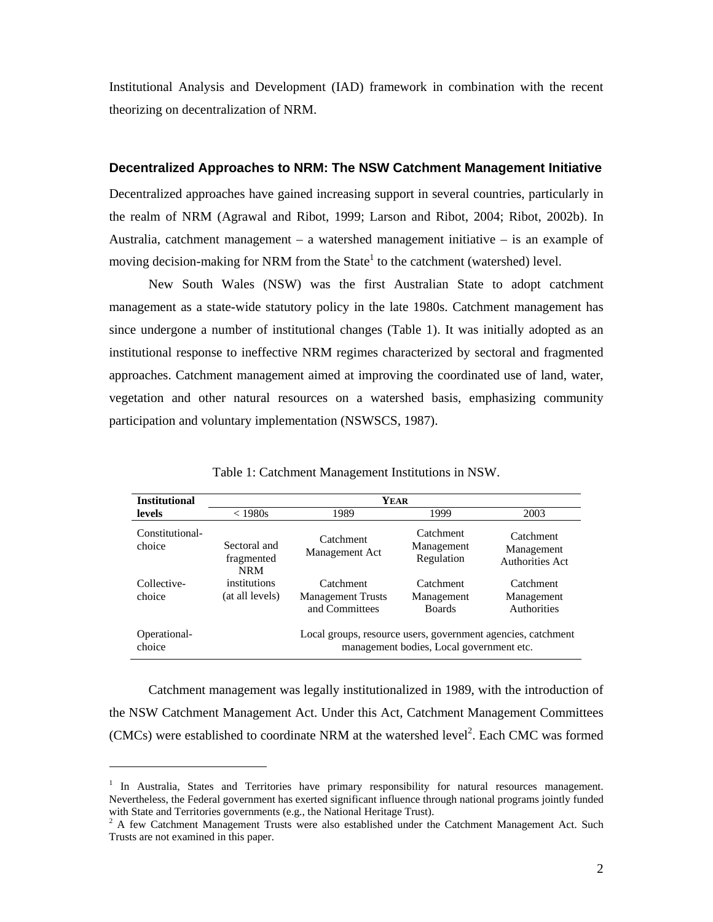Institutional Analysis and Development (IAD) framework in combination with the recent theorizing on decentralization of NRM.

## **Decentralized Approaches to NRM: The NSW Catchment Management Initiative**

Decentralized approaches have gained increasing support in several countries, particularly in the realm of NRM (Agrawal and Ribot, 1999; Larson and Ribot, 2004; Ribot, 2002b). In Australia, catchment management – a watershed management initiative – is an example of moving decision-making for NRM from the State $<sup>1</sup>$  to the catchment (watershed) level.</sup>

 New South Wales (NSW) was the first Australian State to adopt catchment management as a state-wide statutory policy in the late 1980s. Catchment management has since undergone a number of institutional changes (Table 1). It was initially adopted as an institutional response to ineffective NRM regimes characterized by sectoral and fragmented approaches. Catchment management aimed at improving the coordinated use of land, water, vegetation and other natural resources on a watershed basis, emphasizing community participation and voluntary implementation (NSWSCS, 1987).

| <b>Institutional</b>      | <b>YEAR</b>                              |                                                                                                          |                                          |                                               |
|---------------------------|------------------------------------------|----------------------------------------------------------------------------------------------------------|------------------------------------------|-----------------------------------------------|
| levels                    | $<$ 1980s                                | 1989                                                                                                     | 1999                                     | 2003                                          |
| Constitutional-<br>choice | Sectoral and<br>fragmented<br><b>NRM</b> | Catchment<br>Management Act                                                                              | Catchment<br>Management<br>Regulation    | Catchment<br>Management<br>Authorities Act    |
| Collective-<br>choice     | institutions<br>(at all levels)          | Catchment<br><b>Management Trusts</b><br>and Committees                                                  | Catchment<br>Management<br><b>Boards</b> | Catchment<br>Management<br><b>Authorities</b> |
| Operational-<br>choice    |                                          | Local groups, resource users, government agencies, catchment<br>management bodies, Local government etc. |                                          |                                               |

Table 1: Catchment Management Institutions in NSW.

 Catchment management was legally institutionalized in 1989, with the introduction of the NSW Catchment Management Act. Under this Act, Catchment Management Committees  $(CMCs)$  were established to coordinate NRM at the watershed level<sup>2</sup>. Each CMC was formed

-

<sup>&</sup>lt;sup>1</sup> In Australia, States and Territories have primary responsibility for natural resources management. Nevertheless, the Federal government has exerted significant influence through national programs jointly funded with State and Territories governments (e.g., the National Heritage Trust).

<sup>2</sup> A few Catchment Management Trusts were also established under the Catchment Management Act. Such Trusts are not examined in this paper.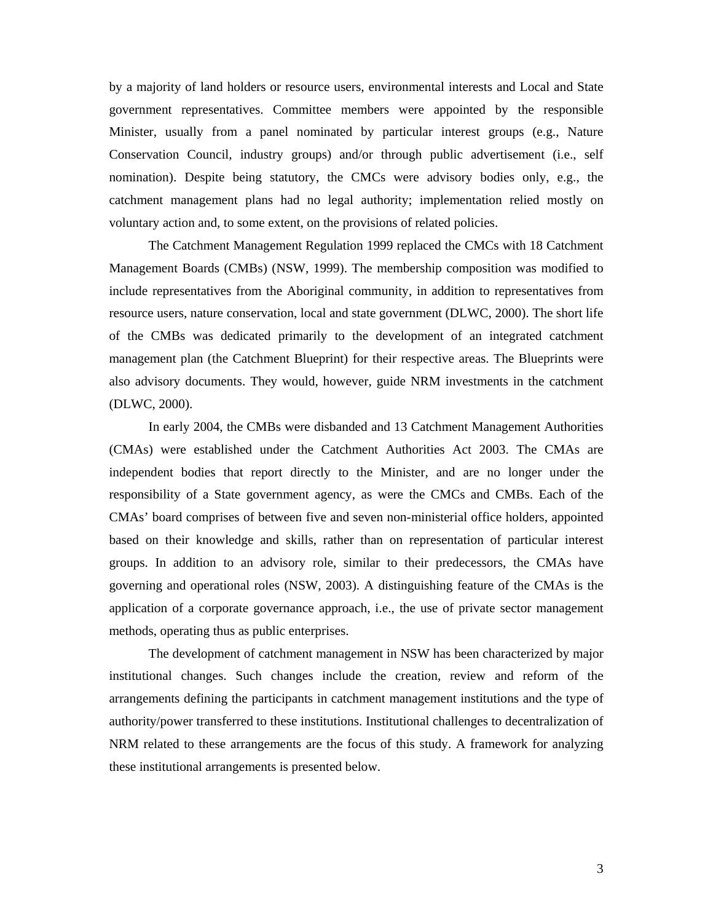by a majority of land holders or resource users, environmental interests and Local and State government representatives. Committee members were appointed by the responsible Minister, usually from a panel nominated by particular interest groups (e.g., Nature Conservation Council, industry groups) and/or through public advertisement (i.e., self nomination). Despite being statutory, the CMCs were advisory bodies only, e.g., the catchment management plans had no legal authority; implementation relied mostly on voluntary action and, to some extent, on the provisions of related policies.

 The Catchment Management Regulation 1999 replaced the CMCs with 18 Catchment Management Boards (CMBs) (NSW, 1999). The membership composition was modified to include representatives from the Aboriginal community, in addition to representatives from resource users, nature conservation, local and state government (DLWC, 2000). The short life of the CMBs was dedicated primarily to the development of an integrated catchment management plan (the Catchment Blueprint) for their respective areas. The Blueprints were also advisory documents. They would, however, guide NRM investments in the catchment (DLWC, 2000).

 In early 2004, the CMBs were disbanded and 13 Catchment Management Authorities (CMAs) were established under the Catchment Authorities Act 2003. The CMAs are independent bodies that report directly to the Minister, and are no longer under the responsibility of a State government agency, as were the CMCs and CMBs. Each of the CMAs' board comprises of between five and seven non-ministerial office holders, appointed based on their knowledge and skills, rather than on representation of particular interest groups. In addition to an advisory role, similar to their predecessors, the CMAs have governing and operational roles (NSW, 2003). A distinguishing feature of the CMAs is the application of a corporate governance approach, i.e., the use of private sector management methods, operating thus as public enterprises.

 The development of catchment management in NSW has been characterized by major institutional changes. Such changes include the creation, review and reform of the arrangements defining the participants in catchment management institutions and the type of authority/power transferred to these institutions. Institutional challenges to decentralization of NRM related to these arrangements are the focus of this study. A framework for analyzing these institutional arrangements is presented below.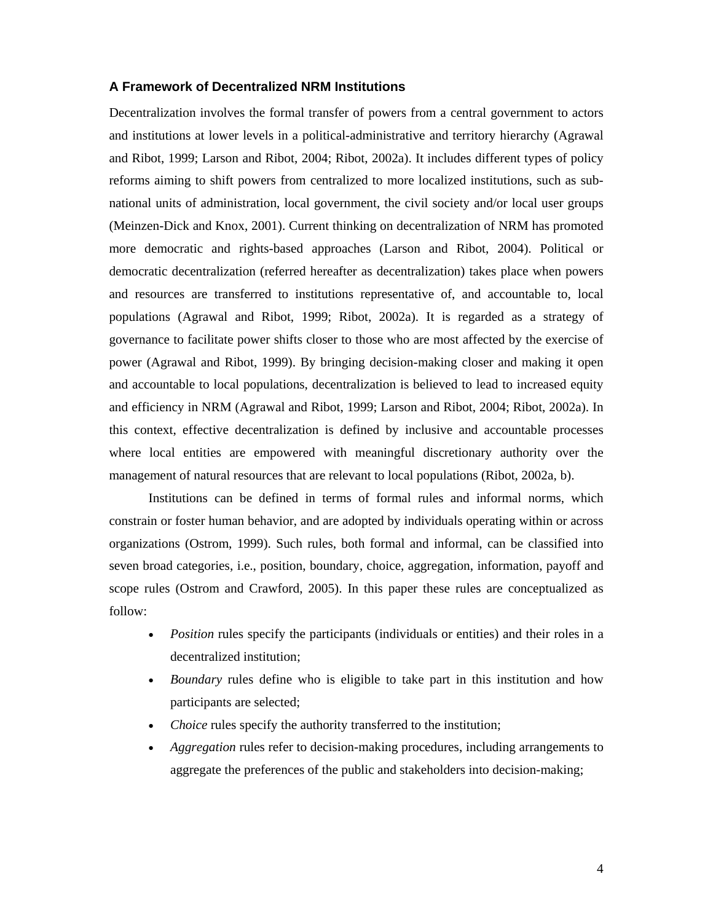# **A Framework of Decentralized NRM Institutions**

Decentralization involves the formal transfer of powers from a central government to actors and institutions at lower levels in a political-administrative and territory hierarchy (Agrawal and Ribot, 1999; Larson and Ribot, 2004; Ribot, 2002a). It includes different types of policy reforms aiming to shift powers from centralized to more localized institutions, such as subnational units of administration, local government, the civil society and/or local user groups (Meinzen-Dick and Knox, 2001). Current thinking on decentralization of NRM has promoted more democratic and rights-based approaches (Larson and Ribot, 2004). Political or democratic decentralization (referred hereafter as decentralization) takes place when powers and resources are transferred to institutions representative of, and accountable to, local populations (Agrawal and Ribot, 1999; Ribot, 2002a). It is regarded as a strategy of governance to facilitate power shifts closer to those who are most affected by the exercise of power (Agrawal and Ribot, 1999). By bringing decision-making closer and making it open and accountable to local populations, decentralization is believed to lead to increased equity and efficiency in NRM (Agrawal and Ribot, 1999; Larson and Ribot, 2004; Ribot, 2002a). In this context, effective decentralization is defined by inclusive and accountable processes where local entities are empowered with meaningful discretionary authority over the management of natural resources that are relevant to local populations (Ribot, 2002a, b).

 Institutions can be defined in terms of formal rules and informal norms, which constrain or foster human behavior, and are adopted by individuals operating within or across organizations (Ostrom, 1999). Such rules, both formal and informal, can be classified into seven broad categories, i.e., position, boundary, choice, aggregation, information, payoff and scope rules (Ostrom and Crawford, 2005). In this paper these rules are conceptualized as follow:

- *Position* rules specify the participants (individuals or entities) and their roles in a decentralized institution;
- *Boundary* rules define who is eligible to take part in this institution and how participants are selected;
- *Choice* rules specify the authority transferred to the institution;
- *Aggregation* rules refer to decision-making procedures, including arrangements to aggregate the preferences of the public and stakeholders into decision-making;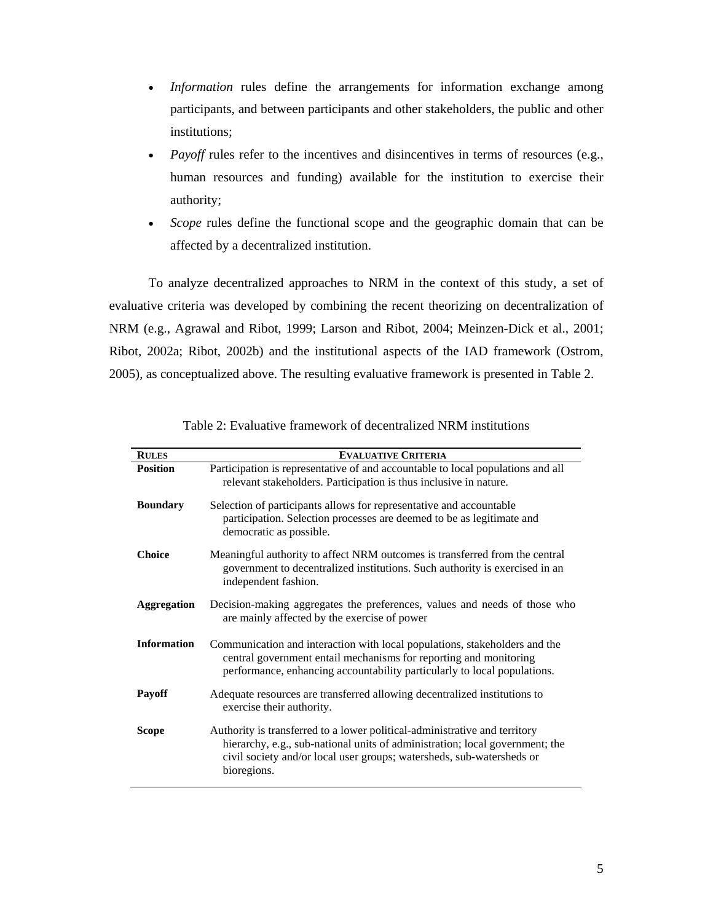- *Information* rules define the arrangements for information exchange among participants, and between participants and other stakeholders, the public and other institutions;
- *Payoff* rules refer to the incentives and disincentives in terms of resources (e.g., human resources and funding) available for the institution to exercise their authority;
- Scope rules define the functional scope and the geographic domain that can be affected by a decentralized institution.

 To analyze decentralized approaches to NRM in the context of this study, a set of evaluative criteria was developed by combining the recent theorizing on decentralization of NRM (e.g., Agrawal and Ribot, 1999; Larson and Ribot, 2004; Meinzen-Dick et al., 2001; Ribot, 2002a; Ribot, 2002b) and the institutional aspects of the IAD framework (Ostrom, 2005), as conceptualized above. The resulting evaluative framework is presented in Table 2.

| <b>RULES</b>       | <b>EVALUATIVE CRITERIA</b>                                                                                                                                                                                                                         |
|--------------------|----------------------------------------------------------------------------------------------------------------------------------------------------------------------------------------------------------------------------------------------------|
| <b>Position</b>    | Participation is representative of and accountable to local populations and all<br>relevant stakeholders. Participation is thus inclusive in nature.                                                                                               |
| <b>Boundary</b>    | Selection of participants allows for representative and accountable<br>participation. Selection processes are deemed to be as legitimate and<br>democratic as possible.                                                                            |
| <b>Choice</b>      | Meaningful authority to affect NRM outcomes is transferred from the central<br>government to decentralized institutions. Such authority is exercised in an<br>independent fashion.                                                                 |
| <b>Aggregation</b> | Decision-making aggregates the preferences, values and needs of those who<br>are mainly affected by the exercise of power                                                                                                                          |
| <b>Information</b> | Communication and interaction with local populations, stakeholders and the<br>central government entail mechanisms for reporting and monitoring<br>performance, enhancing accountability particularly to local populations.                        |
| <b>Payoff</b>      | Adequate resources are transferred allowing decentralized institutions to<br>exercise their authority.                                                                                                                                             |
| <b>Scope</b>       | Authority is transferred to a lower political-administrative and territory<br>hierarchy, e.g., sub-national units of administration; local government; the<br>civil society and/or local user groups; watersheds, sub-watersheds or<br>bioregions. |

| Table 2: Evaluative framework of decentralized NRM institutions |  |
|-----------------------------------------------------------------|--|
|-----------------------------------------------------------------|--|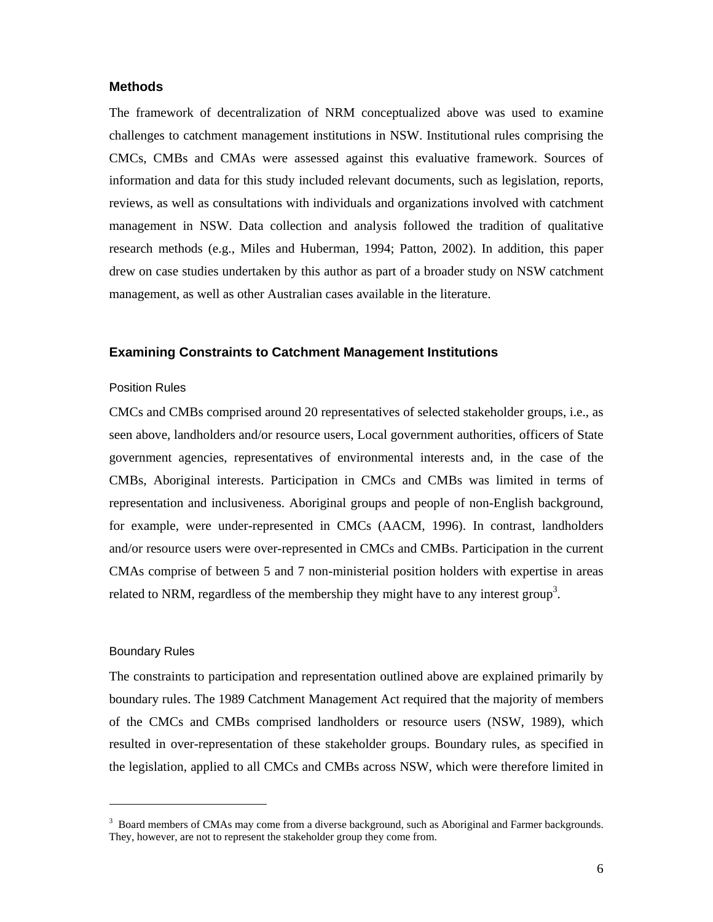## **Methods**

The framework of decentralization of NRM conceptualized above was used to examine challenges to catchment management institutions in NSW. Institutional rules comprising the CMCs, CMBs and CMAs were assessed against this evaluative framework. Sources of information and data for this study included relevant documents, such as legislation, reports, reviews, as well as consultations with individuals and organizations involved with catchment management in NSW. Data collection and analysis followed the tradition of qualitative research methods (e.g., Miles and Huberman, 1994; Patton, 2002). In addition, this paper drew on case studies undertaken by this author as part of a broader study on NSW catchment management, as well as other Australian cases available in the literature.

#### **Examining Constraints to Catchment Management Institutions**

### Position Rules

CMCs and CMBs comprised around 20 representatives of selected stakeholder groups, i.e., as seen above, landholders and/or resource users, Local government authorities, officers of State government agencies, representatives of environmental interests and, in the case of the CMBs, Aboriginal interests. Participation in CMCs and CMBs was limited in terms of representation and inclusiveness. Aboriginal groups and people of non-English background, for example, were under-represented in CMCs (AACM, 1996). In contrast, landholders and/or resource users were over-represented in CMCs and CMBs. Participation in the current CMAs comprise of between 5 and 7 non-ministerial position holders with expertise in areas related to NRM, regardless of the membership they might have to any interest group<sup>3</sup>.

#### Boundary Rules

-

The constraints to participation and representation outlined above are explained primarily by boundary rules. The 1989 Catchment Management Act required that the majority of members of the CMCs and CMBs comprised landholders or resource users (NSW, 1989), which resulted in over-representation of these stakeholder groups. Boundary rules, as specified in the legislation, applied to all CMCs and CMBs across NSW, which were therefore limited in

<sup>&</sup>lt;sup>3</sup> Board members of CMAs may come from a diverse background, such as Aboriginal and Farmer backgrounds. They, however, are not to represent the stakeholder group they come from.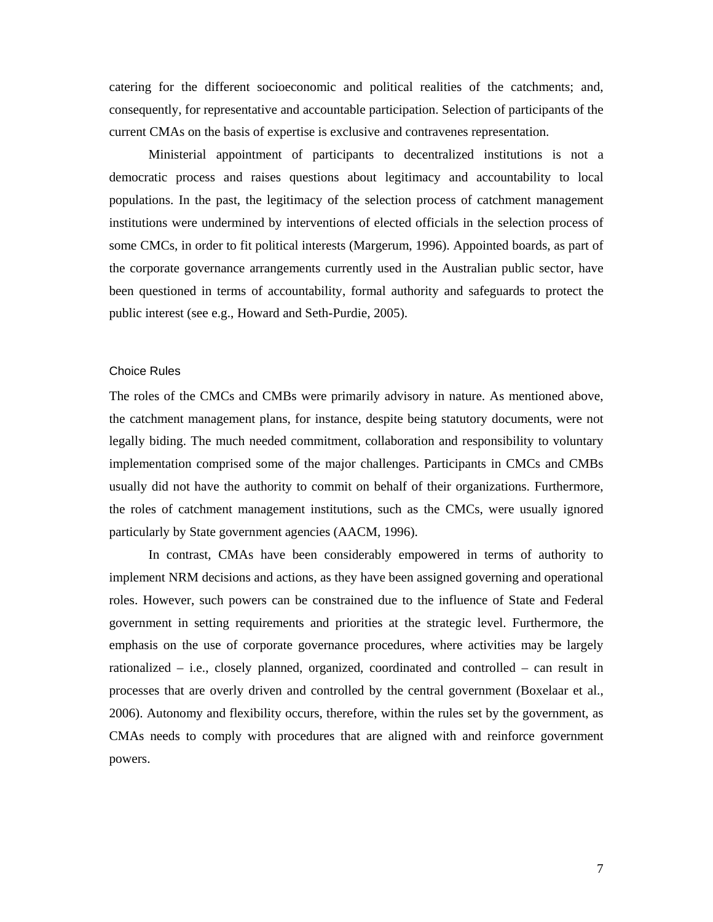catering for the different socioeconomic and political realities of the catchments; and, consequently, for representative and accountable participation. Selection of participants of the current CMAs on the basis of expertise is exclusive and contravenes representation.

 Ministerial appointment of participants to decentralized institutions is not a democratic process and raises questions about legitimacy and accountability to local populations. In the past, the legitimacy of the selection process of catchment management institutions were undermined by interventions of elected officials in the selection process of some CMCs, in order to fit political interests (Margerum, 1996). Appointed boards, as part of the corporate governance arrangements currently used in the Australian public sector, have been questioned in terms of accountability, formal authority and safeguards to protect the public interest (see e.g., Howard and Seth-Purdie, 2005).

## Choice Rules

The roles of the CMCs and CMBs were primarily advisory in nature. As mentioned above, the catchment management plans, for instance, despite being statutory documents, were not legally biding. The much needed commitment, collaboration and responsibility to voluntary implementation comprised some of the major challenges. Participants in CMCs and CMBs usually did not have the authority to commit on behalf of their organizations. Furthermore, the roles of catchment management institutions, such as the CMCs, were usually ignored particularly by State government agencies (AACM, 1996).

 In contrast, CMAs have been considerably empowered in terms of authority to implement NRM decisions and actions, as they have been assigned governing and operational roles. However, such powers can be constrained due to the influence of State and Federal government in setting requirements and priorities at the strategic level. Furthermore, the emphasis on the use of corporate governance procedures, where activities may be largely rationalized – i.e., closely planned, organized, coordinated and controlled – can result in processes that are overly driven and controlled by the central government (Boxelaar et al., 2006). Autonomy and flexibility occurs, therefore, within the rules set by the government, as CMAs needs to comply with procedures that are aligned with and reinforce government powers.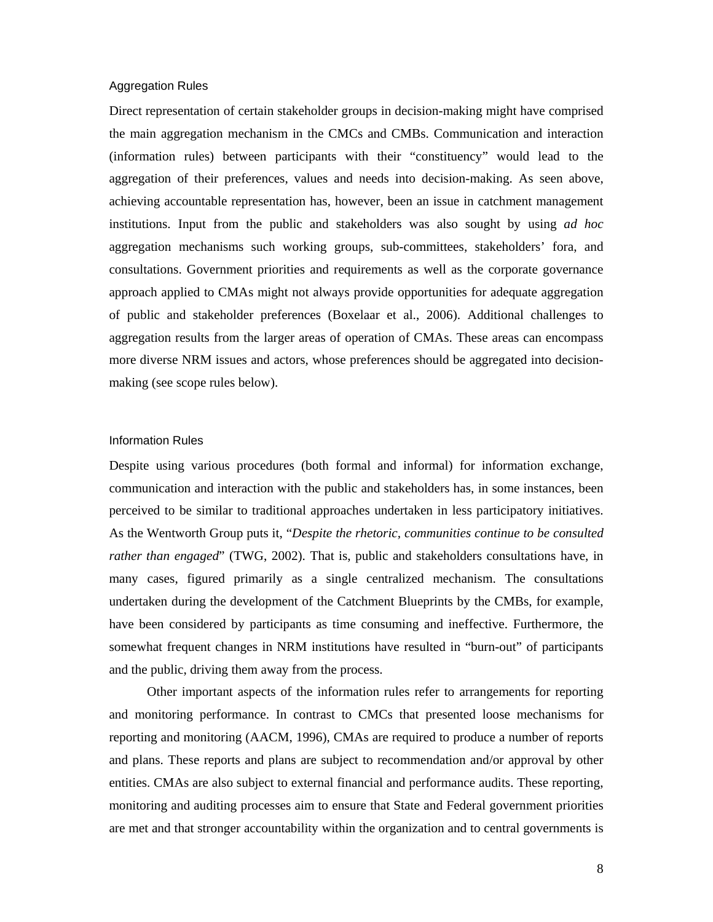#### Aggregation Rules

Direct representation of certain stakeholder groups in decision-making might have comprised the main aggregation mechanism in the CMCs and CMBs. Communication and interaction (information rules) between participants with their "constituency" would lead to the aggregation of their preferences, values and needs into decision-making. As seen above, achieving accountable representation has, however, been an issue in catchment management institutions. Input from the public and stakeholders was also sought by using *ad hoc* aggregation mechanisms such working groups, sub-committees, stakeholders' fora, and consultations. Government priorities and requirements as well as the corporate governance approach applied to CMAs might not always provide opportunities for adequate aggregation of public and stakeholder preferences (Boxelaar et al., 2006). Additional challenges to aggregation results from the larger areas of operation of CMAs. These areas can encompass more diverse NRM issues and actors, whose preferences should be aggregated into decisionmaking (see scope rules below).

### Information Rules

Despite using various procedures (both formal and informal) for information exchange, communication and interaction with the public and stakeholders has, in some instances, been perceived to be similar to traditional approaches undertaken in less participatory initiatives. As the Wentworth Group puts it, "*Despite the rhetoric, communities continue to be consulted rather than engaged*" (TWG, 2002). That is, public and stakeholders consultations have, in many cases, figured primarily as a single centralized mechanism. The consultations undertaken during the development of the Catchment Blueprints by the CMBs, for example, have been considered by participants as time consuming and ineffective. Furthermore, the somewhat frequent changes in NRM institutions have resulted in "burn-out" of participants and the public, driving them away from the process.

Other important aspects of the information rules refer to arrangements for reporting and monitoring performance. In contrast to CMCs that presented loose mechanisms for reporting and monitoring (AACM, 1996), CMAs are required to produce a number of reports and plans. These reports and plans are subject to recommendation and/or approval by other entities. CMAs are also subject to external financial and performance audits. These reporting, monitoring and auditing processes aim to ensure that State and Federal government priorities are met and that stronger accountability within the organization and to central governments is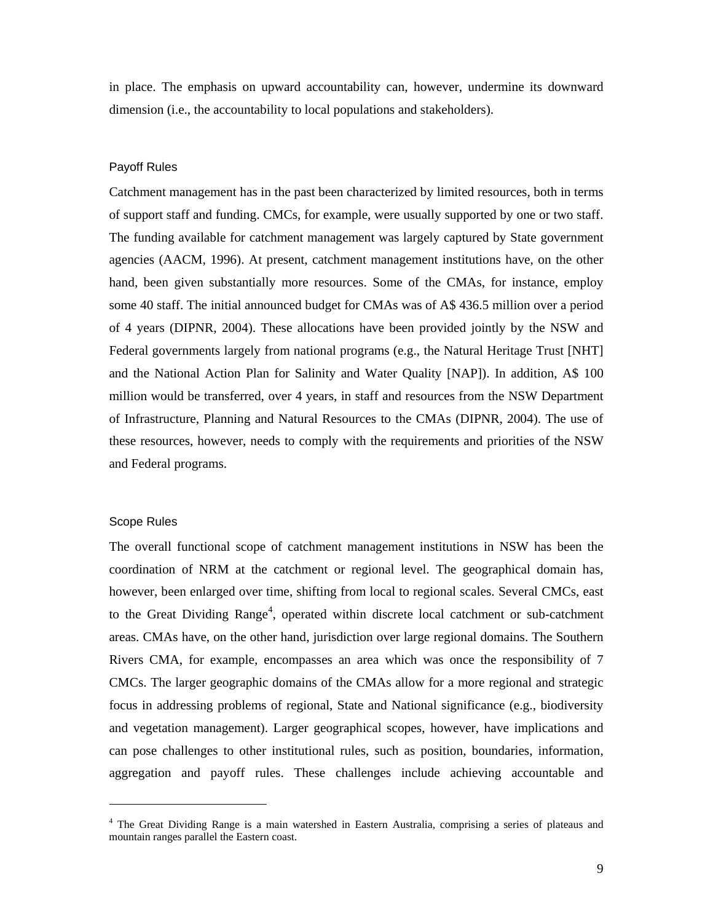in place. The emphasis on upward accountability can, however, undermine its downward dimension (i.e., the accountability to local populations and stakeholders).

## Payoff Rules

Catchment management has in the past been characterized by limited resources, both in terms of support staff and funding. CMCs, for example, were usually supported by one or two staff. The funding available for catchment management was largely captured by State government agencies (AACM, 1996). At present, catchment management institutions have, on the other hand, been given substantially more resources. Some of the CMAs, for instance, employ some 40 staff. The initial announced budget for CMAs was of A\$ 436.5 million over a period of 4 years (DIPNR, 2004). These allocations have been provided jointly by the NSW and Federal governments largely from national programs (e.g., the Natural Heritage Trust [NHT] and the National Action Plan for Salinity and Water Quality [NAP]). In addition, A\$ 100 million would be transferred, over 4 years, in staff and resources from the NSW Department of Infrastructure, Planning and Natural Resources to the CMAs (DIPNR, 2004). The use of these resources, however, needs to comply with the requirements and priorities of the NSW and Federal programs.

#### Scope Rules

-

The overall functional scope of catchment management institutions in NSW has been the coordination of NRM at the catchment or regional level. The geographical domain has, however, been enlarged over time, shifting from local to regional scales. Several CMCs, east to the Great Dividing Range<sup>4</sup>, operated within discrete local catchment or sub-catchment areas. CMAs have, on the other hand, jurisdiction over large regional domains. The Southern Rivers CMA, for example, encompasses an area which was once the responsibility of 7 CMCs. The larger geographic domains of the CMAs allow for a more regional and strategic focus in addressing problems of regional, State and National significance (e.g., biodiversity and vegetation management). Larger geographical scopes, however, have implications and can pose challenges to other institutional rules, such as position, boundaries, information, aggregation and payoff rules. These challenges include achieving accountable and

<sup>&</sup>lt;sup>4</sup> The Great Dividing Range is a main watershed in Eastern Australia, comprising a series of plateaus and mountain ranges parallel the Eastern coast.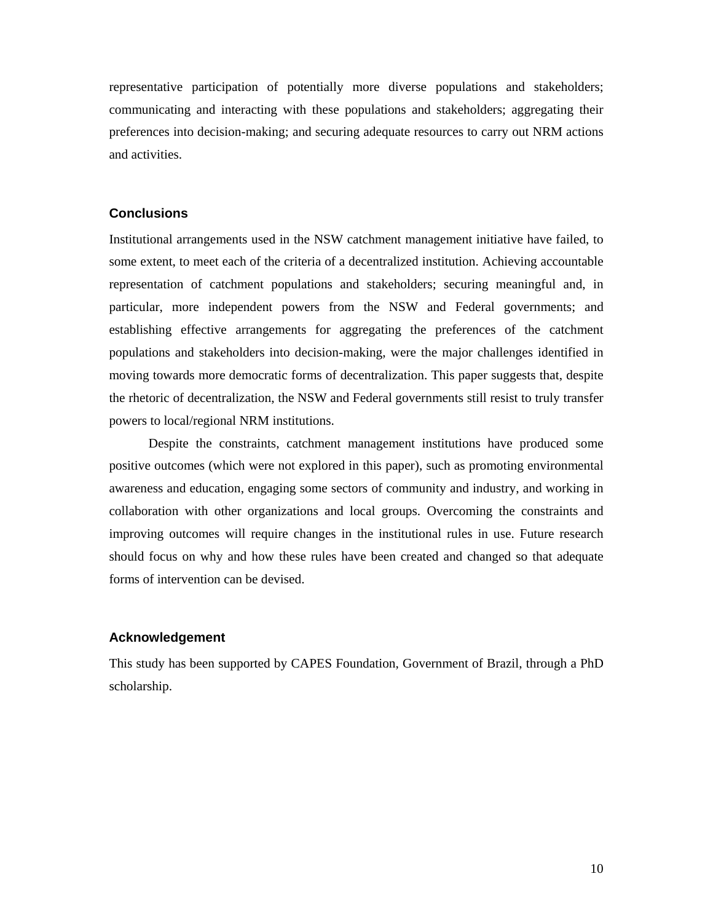representative participation of potentially more diverse populations and stakeholders; communicating and interacting with these populations and stakeholders; aggregating their preferences into decision-making; and securing adequate resources to carry out NRM actions and activities.

# **Conclusions**

Institutional arrangements used in the NSW catchment management initiative have failed, to some extent, to meet each of the criteria of a decentralized institution. Achieving accountable representation of catchment populations and stakeholders; securing meaningful and, in particular, more independent powers from the NSW and Federal governments; and establishing effective arrangements for aggregating the preferences of the catchment populations and stakeholders into decision-making, were the major challenges identified in moving towards more democratic forms of decentralization. This paper suggests that, despite the rhetoric of decentralization, the NSW and Federal governments still resist to truly transfer powers to local/regional NRM institutions.

 Despite the constraints, catchment management institutions have produced some positive outcomes (which were not explored in this paper), such as promoting environmental awareness and education, engaging some sectors of community and industry, and working in collaboration with other organizations and local groups. Overcoming the constraints and improving outcomes will require changes in the institutional rules in use. Future research should focus on why and how these rules have been created and changed so that adequate forms of intervention can be devised.

## **Acknowledgement**

This study has been supported by CAPES Foundation, Government of Brazil, through a PhD scholarship.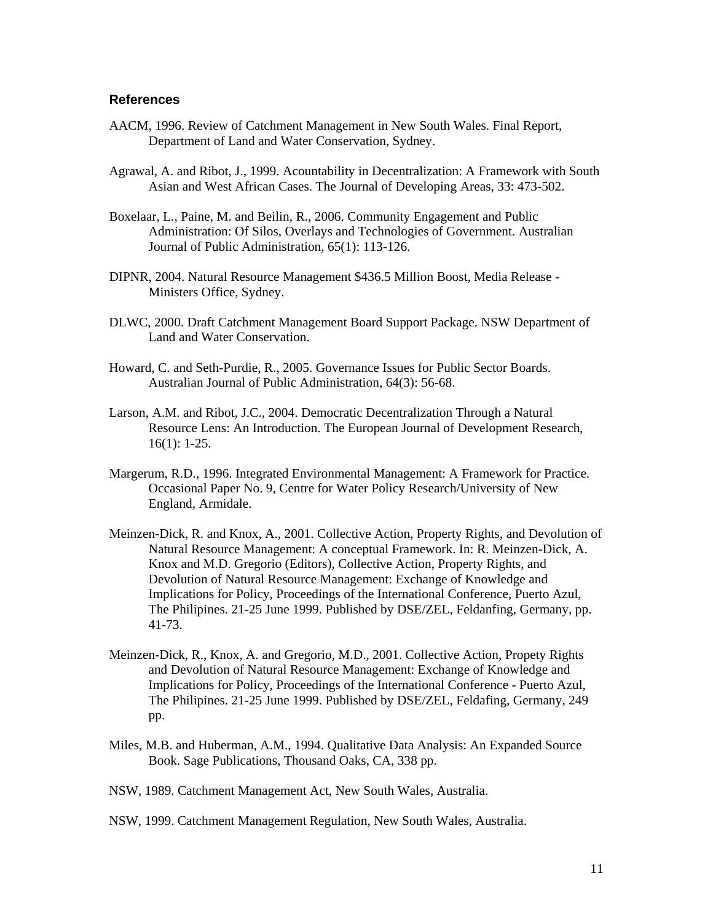## **References**

- AACM, 1996. Review of Catchment Management in New South Wales. Final Report, Department of Land and Water Conservation, Sydney.
- Agrawal, A. and Ribot, J., 1999. Acountability in Decentralization: A Framework with South Asian and West African Cases. The Journal of Developing Areas, 33: 473-502.
- Boxelaar, L., Paine, M. and Beilin, R., 2006. Community Engagement and Public Administration: Of Silos, Overlays and Technologies of Government. Australian Journal of Public Administration, 65(1): 113-126.
- DIPNR, 2004. Natural Resource Management \$436.5 Million Boost, Media Release Ministers Office, Sydney.
- DLWC, 2000. Draft Catchment Management Board Support Package. NSW Department of Land and Water Conservation.
- Howard, C. and Seth-Purdie, R., 2005. Governance Issues for Public Sector Boards. Australian Journal of Public Administration, 64(3): 56-68.
- Larson, A.M. and Ribot, J.C., 2004. Democratic Decentralization Through a Natural Resource Lens: An Introduction. The European Journal of Development Research, 16(1): 1-25.
- Margerum, R.D., 1996. Integrated Environmental Management: A Framework for Practice. Occasional Paper No. 9, Centre for Water Policy Research/University of New England, Armidale.
- Meinzen-Dick, R. and Knox, A., 2001. Collective Action, Property Rights, and Devolution of Natural Resource Management: A conceptual Framework. In: R. Meinzen-Dick, A. Knox and M.D. Gregorio (Editors), Collective Action, Property Rights, and Devolution of Natural Resource Management: Exchange of Knowledge and Implications for Policy, Proceedings of the International Conference, Puerto Azul, The Philipines. 21-25 June 1999. Published by DSE/ZEL, Feldanfing, Germany, pp. 41-73.
- Meinzen-Dick, R., Knox, A. and Gregorio, M.D., 2001. Collective Action, Propety Rights and Devolution of Natural Resource Management: Exchange of Knowledge and Implications for Policy, Proceedings of the International Conference - Puerto Azul, The Philipines. 21-25 June 1999. Published by DSE/ZEL, Feldafing, Germany, 249 pp.
- Miles, M.B. and Huberman, A.M., 1994. Qualitative Data Analysis: An Expanded Source Book. Sage Publications, Thousand Oaks, CA, 338 pp.
- NSW, 1989. Catchment Management Act, New South Wales, Australia.

NSW, 1999. Catchment Management Regulation, New South Wales, Australia.